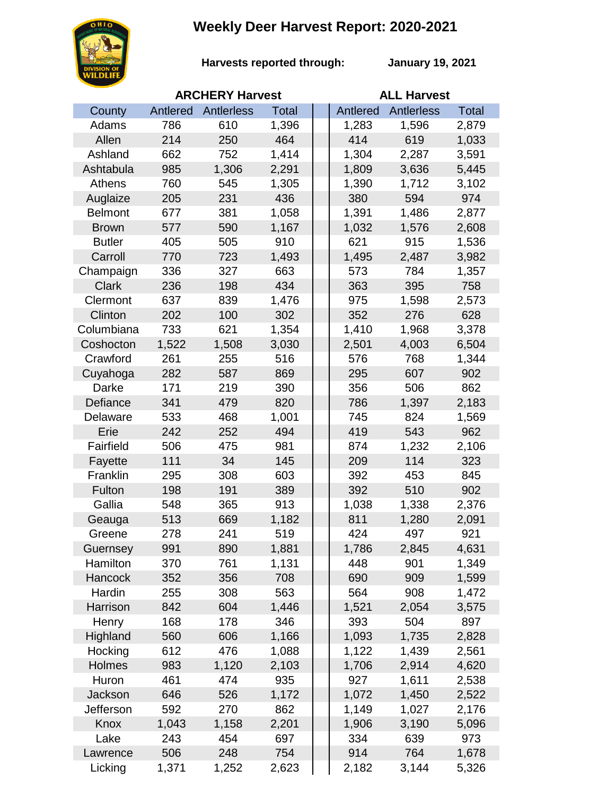## **Weekly Deer Harvest Report: 2020-2021**



**Harvests reported through:** 

**January 19, 2021**

|                | <b>ARCHERY Harvest</b> |            |              |  | <b>ALL Harvest</b> |                   |              |  |
|----------------|------------------------|------------|--------------|--|--------------------|-------------------|--------------|--|
| County         | Antlered               | Antlerless | <b>Total</b> |  | Antlered           | <b>Antlerless</b> | <b>Total</b> |  |
| Adams          | 786                    | 610        | 1,396        |  | 1,283              | 1,596             | 2,879        |  |
| Allen          | 214                    | 250        | 464          |  | 414                | 619               | 1,033        |  |
| Ashland        | 662                    | 752        | 1,414        |  | 1,304              | 2,287             | 3,591        |  |
| Ashtabula      | 985                    | 1,306      | 2,291        |  | 1,809              | 3,636             | 5,445        |  |
| Athens         | 760                    | 545        | 1,305        |  | 1,390              | 1,712             | 3,102        |  |
| Auglaize       | 205                    | 231        | 436          |  | 380                | 594               | 974          |  |
| <b>Belmont</b> | 677                    | 381        | 1,058        |  | 1,391              | 1,486             | 2,877        |  |
| <b>Brown</b>   | 577                    | 590        | 1,167        |  | 1,032              | 1,576             | 2,608        |  |
| <b>Butler</b>  | 405                    | 505        | 910          |  | 621                | 915               | 1,536        |  |
| Carroll        | 770                    | 723        | 1,493        |  | 1,495              | 2,487             | 3,982        |  |
| Champaign      | 336                    | 327        | 663          |  | 573                | 784               | 1,357        |  |
| <b>Clark</b>   | 236                    | 198        | 434          |  | 363                | 395               | 758          |  |
| Clermont       | 637                    | 839        | 1,476        |  | 975                | 1,598             | 2,573        |  |
| Clinton        | 202                    | 100        | 302          |  | 352                | 276               | 628          |  |
| Columbiana     | 733                    | 621        | 1,354        |  | 1,410              | 1,968             | 3,378        |  |
| Coshocton      | 1,522                  | 1,508      | 3,030        |  | 2,501              | 4,003             | 6,504        |  |
| Crawford       | 261                    | 255        | 516          |  | 576                | 768               | 1,344        |  |
| Cuyahoga       | 282                    | 587        | 869          |  | 295                | 607               | 902          |  |
| Darke          | 171                    | 219        | 390          |  | 356                | 506               | 862          |  |
| Defiance       | 341                    | 479        | 820          |  | 786                | 1,397             | 2,183        |  |
| Delaware       | 533                    | 468        | 1,001        |  | 745                | 824               | 1,569        |  |
| Erie           | 242                    | 252        | 494          |  | 419                | 543               | 962          |  |
| Fairfield      | 506                    | 475        | 981          |  | 874                | 1,232             | 2,106        |  |
| Fayette        | 111                    | 34         | 145          |  | 209                | 114               | 323          |  |
| Franklin       | 295                    | 308        | 603          |  | 392                | 453               | 845          |  |
| Fulton         | 198                    | 191        | 389          |  | 392                | 510               | 902          |  |
| Gallia         | 548                    | 365        | 913          |  | 1,038              | 1,338             | 2,376        |  |
| Geauga         | 513                    | 669        | 1,182        |  | 811                | 1,280             | 2,091        |  |
| Greene         | 278                    | 241        | 519          |  | 424                | 497               | 921          |  |
| Guernsey       | 991                    | 890        | 1,881        |  | 1,786              | 2,845             | 4,631        |  |
| Hamilton       | 370                    | 761        | 1,131        |  | 448                | 901               | 1,349        |  |
| Hancock        | 352                    | 356        | 708          |  | 690                | 909               | 1,599        |  |
| Hardin         | 255                    | 308        | 563          |  | 564                | 908               | 1,472        |  |
| Harrison       | 842                    | 604        | 1,446        |  | 1,521              | 2,054             | 3,575        |  |
| Henry          | 168                    | 178        | 346          |  | 393                | 504               | 897          |  |
| Highland       | 560                    | 606        | 1,166        |  | 1,093              | 1,735             | 2,828        |  |
| Hocking        | 612                    | 476        | 1,088        |  | 1,122              | 1,439             | 2,561        |  |
| Holmes         | 983                    | 1,120      | 2,103        |  | 1,706              | 2,914             | 4,620        |  |
| Huron          | 461                    | 474        | 935          |  | 927                | 1,611             | 2,538        |  |
| Jackson        | 646                    | 526        | 1,172        |  | 1,072              | 1,450             | 2,522        |  |
| Jefferson      | 592                    | 270        | 862          |  | 1,149              | 1,027             | 2,176        |  |
| Knox           | 1,043                  | 1,158      | 2,201        |  | 1,906              | 3,190             | 5,096        |  |
| Lake           | 243                    | 454        | 697          |  | 334                | 639               | 973          |  |
| Lawrence       | 506                    | 248        | 754          |  | 914                | 764               | 1,678        |  |
| Licking        | 1,371                  | 1,252      | 2,623        |  | 2,182              | 3,144             | 5,326        |  |